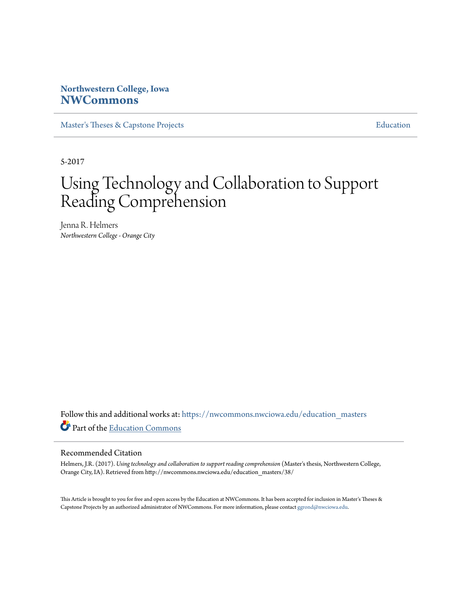# **Northwestern College, Iowa [NWCommons](https://nwcommons.nwciowa.edu?utm_source=nwcommons.nwciowa.edu%2Feducation_masters%2F38&utm_medium=PDF&utm_campaign=PDFCoverPages)**

[Master's Theses & Capstone Projects](https://nwcommons.nwciowa.edu/education_masters?utm_source=nwcommons.nwciowa.edu%2Feducation_masters%2F38&utm_medium=PDF&utm_campaign=PDFCoverPages) **[Education](https://nwcommons.nwciowa.edu/education?utm_source=nwcommons.nwciowa.edu%2Feducation_masters%2F38&utm_medium=PDF&utm_campaign=PDFCoverPages)** 

5-2017

# Using Technology and Collaboration to Support Reading Comprehension

Jenna R. Helmers *Northwestern College - Orange City*

Follow this and additional works at: [https://nwcommons.nwciowa.edu/education\\_masters](https://nwcommons.nwciowa.edu/education_masters?utm_source=nwcommons.nwciowa.edu%2Feducation_masters%2F38&utm_medium=PDF&utm_campaign=PDFCoverPages) Part of the [Education Commons](http://network.bepress.com/hgg/discipline/784?utm_source=nwcommons.nwciowa.edu%2Feducation_masters%2F38&utm_medium=PDF&utm_campaign=PDFCoverPages)

#### Recommended Citation

Helmers, J.R. (2017). *Using technology and collaboration to support reading comprehension* (Master's thesis, Northwestern College, Orange City, IA). Retrieved from http://nwcommons.nwciowa.edu/education\_masters/38/

This Article is brought to you for free and open access by the Education at NWCommons. It has been accepted for inclusion in Master's Theses & Capstone Projects by an authorized administrator of NWCommons. For more information, please contact [ggrond@nwciowa.edu.](mailto:ggrond@nwciowa.edu)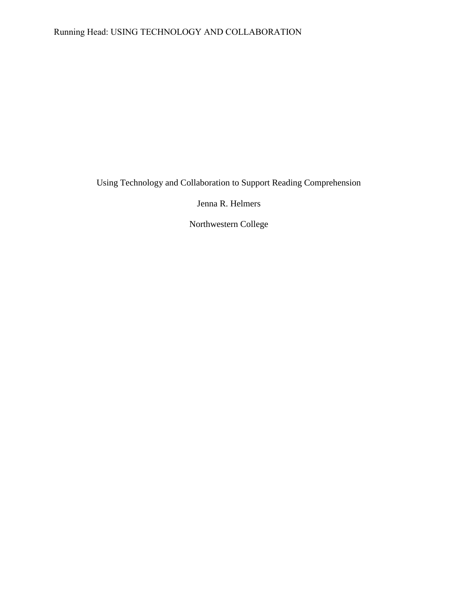# Running Head: USING TECHNOLOGY AND COLLABORATION

Using Technology and Collaboration to Support Reading Comprehension

Jenna R. Helmers

Northwestern College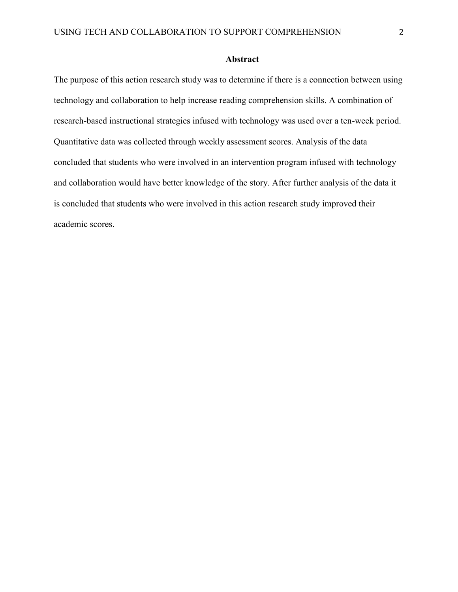# Abstract

The purpose of this action research study was to determine if there is a connection between using technology and collaboration to help increase reading comprehension skills. A combination of research-based instructional strategies infused with technology was used over a ten-week period. Quantitative data was collected through weekly assessment scores. Analysis of the data concluded that students who were involved in an intervention program infused with technology and collaboration would have better knowledge of the story. After further analysis of the data it is concluded that students who were involved in this action research study improved their academic scores.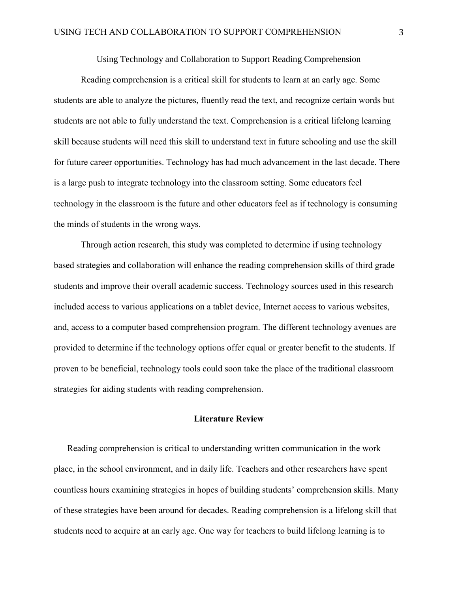Using Technology and Collaboration to Support Reading Comprehension

Reading comprehension is a critical skill for students to learn at an early age. Some students are able to analyze the pictures, fluently read the text, and recognize certain words but students are not able to fully understand the text. Comprehension is a critical lifelong learning skill because students will need this skill to understand text in future schooling and use the skill for future career opportunities. Technology has had much advancement in the last decade. There is a large push to integrate technology into the classroom setting. Some educators feel technology in the classroom is the future and other educators feel as if technology is consuming the minds of students in the wrong ways.

Through action research, this study was completed to determine if using technology based strategies and collaboration will enhance the reading comprehension skills of third grade students and improve their overall academic success. Technology sources used in this research included access to various applications on a tablet device, Internet access to various websites, and, access to a computer based comprehension program. The different technology avenues are provided to determine if the technology options offer equal or greater benefit to the students. If proven to be beneficial, technology tools could soon take the place of the traditional classroom strategies for aiding students with reading comprehension.

# Literature Review

Reading comprehension is critical to understanding written communication in the work place, in the school environment, and in daily life. Teachers and other researchers have spent countless hours examining strategies in hopes of building students' comprehension skills. Many of these strategies have been around for decades. Reading comprehension is a lifelong skill that students need to acquire at an early age. One way for teachers to build lifelong learning is to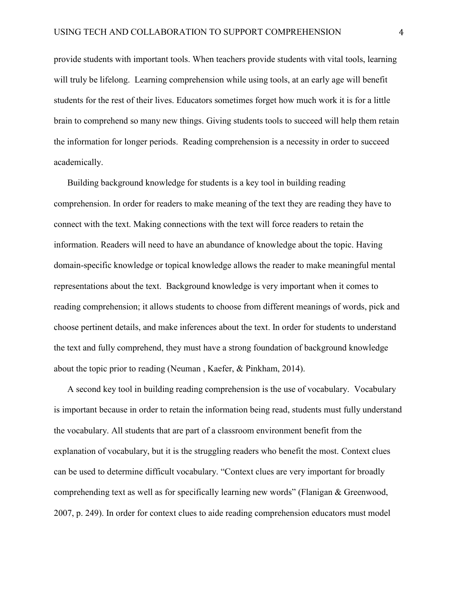provide students with important tools. When teachers provide students with vital tools, learning will truly be lifelong. Learning comprehension while using tools, at an early age will benefit students for the rest of their lives. Educators sometimes forget how much work it is for a little brain to comprehend so many new things. Giving students tools to succeed will help them retain the information for longer periods. Reading comprehension is a necessity in order to succeed academically.

Building background knowledge for students is a key tool in building reading comprehension. In order for readers to make meaning of the text they are reading they have to connect with the text. Making connections with the text will force readers to retain the information. Readers will need to have an abundance of knowledge about the topic. Having domain-specific knowledge or topical knowledge allows the reader to make meaningful mental representations about the text. Background knowledge is very important when it comes to reading comprehension; it allows students to choose from different meanings of words, pick and choose pertinent details, and make inferences about the text. In order for students to understand the text and fully comprehend, they must have a strong foundation of background knowledge about the topic prior to reading (Neuman , Kaefer, & Pinkham, 2014).

A second key tool in building reading comprehension is the use of vocabulary. Vocabulary is important because in order to retain the information being read, students must fully understand the vocabulary. All students that are part of a classroom environment benefit from the explanation of vocabulary, but it is the struggling readers who benefit the most. Context clues can be used to determine difficult vocabulary. "Context clues are very important for broadly comprehending text as well as for specifically learning new words" (Flanigan & Greenwood, 2007, p. 249). In order for context clues to aide reading comprehension educators must model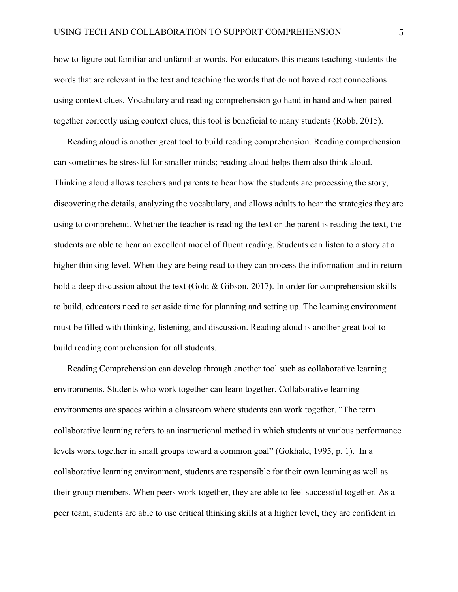how to figure out familiar and unfamiliar words. For educators this means teaching students the words that are relevant in the text and teaching the words that do not have direct connections using context clues. Vocabulary and reading comprehension go hand in hand and when paired together correctly using context clues, this tool is beneficial to many students (Robb, 2015).

Reading aloud is another great tool to build reading comprehension. Reading comprehension can sometimes be stressful for smaller minds; reading aloud helps them also think aloud. Thinking aloud allows teachers and parents to hear how the students are processing the story, discovering the details, analyzing the vocabulary, and allows adults to hear the strategies they are using to comprehend. Whether the teacher is reading the text or the parent is reading the text, the students are able to hear an excellent model of fluent reading. Students can listen to a story at a higher thinking level. When they are being read to they can process the information and in return hold a deep discussion about the text (Gold & Gibson, 2017). In order for comprehension skills to build, educators need to set aside time for planning and setting up. The learning environment must be filled with thinking, listening, and discussion. Reading aloud is another great tool to build reading comprehension for all students.

Reading Comprehension can develop through another tool such as collaborative learning environments. Students who work together can learn together. Collaborative learning environments are spaces within a classroom where students can work together. "The term collaborative learning refers to an instructional method in which students at various performance levels work together in small groups toward a common goal" (Gokhale, 1995, p. 1). In a collaborative learning environment, students are responsible for their own learning as well as their group members. When peers work together, they are able to feel successful together. As a peer team, students are able to use critical thinking skills at a higher level, they are confident in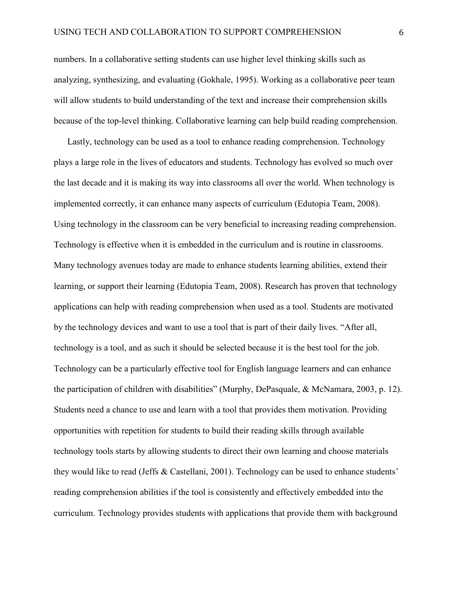numbers. In a collaborative setting students can use higher level thinking skills such as analyzing, synthesizing, and evaluating (Gokhale, 1995). Working as a collaborative peer team will allow students to build understanding of the text and increase their comprehension skills because of the top-level thinking. Collaborative learning can help build reading comprehension.

Lastly, technology can be used as a tool to enhance reading comprehension. Technology plays a large role in the lives of educators and students. Technology has evolved so much over the last decade and it is making its way into classrooms all over the world. When technology is implemented correctly, it can enhance many aspects of curriculum (Edutopia Team, 2008). Using technology in the classroom can be very beneficial to increasing reading comprehension. Technology is effective when it is embedded in the curriculum and is routine in classrooms. Many technology avenues today are made to enhance students learning abilities, extend their learning, or support their learning (Edutopia Team, 2008). Research has proven that technology applications can help with reading comprehension when used as a tool. Students are motivated by the technology devices and want to use a tool that is part of their daily lives. "After all, technology is a tool, and as such it should be selected because it is the best tool for the job. Technology can be a particularly effective tool for English language learners and can enhance the participation of children with disabilities" (Murphy, DePasquale, & McNamara, 2003, p. 12). Students need a chance to use and learn with a tool that provides them motivation. Providing opportunities with repetition for students to build their reading skills through available technology tools starts by allowing students to direct their own learning and choose materials they would like to read (Jeffs & Castellani, 2001). Technology can be used to enhance students' reading comprehension abilities if the tool is consistently and effectively embedded into the curriculum. Technology provides students with applications that provide them with background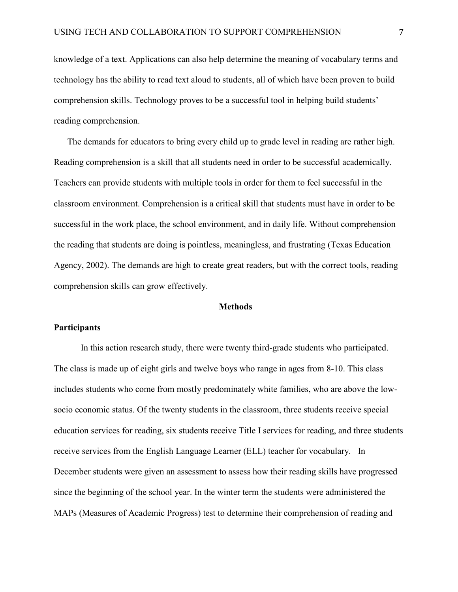knowledge of a text. Applications can also help determine the meaning of vocabulary terms and technology has the ability to read text aloud to students, all of which have been proven to build comprehension skills. Technology proves to be a successful tool in helping build students' reading comprehension.

The demands for educators to bring every child up to grade level in reading are rather high. Reading comprehension is a skill that all students need in order to be successful academically. Teachers can provide students with multiple tools in order for them to feel successful in the classroom environment. Comprehension is a critical skill that students must have in order to be successful in the work place, the school environment, and in daily life. Without comprehension the reading that students are doing is pointless, meaningless, and frustrating (Texas Education Agency, 2002). The demands are high to create great readers, but with the correct tools, reading comprehension skills can grow effectively.

#### Methods

## **Participants**

In this action research study, there were twenty third-grade students who participated. The class is made up of eight girls and twelve boys who range in ages from 8-10. This class includes students who come from mostly predominately white families, who are above the lowsocio economic status. Of the twenty students in the classroom, three students receive special education services for reading, six students receive Title I services for reading, and three students receive services from the English Language Learner (ELL) teacher for vocabulary. In December students were given an assessment to assess how their reading skills have progressed since the beginning of the school year. In the winter term the students were administered the MAPs (Measures of Academic Progress) test to determine their comprehension of reading and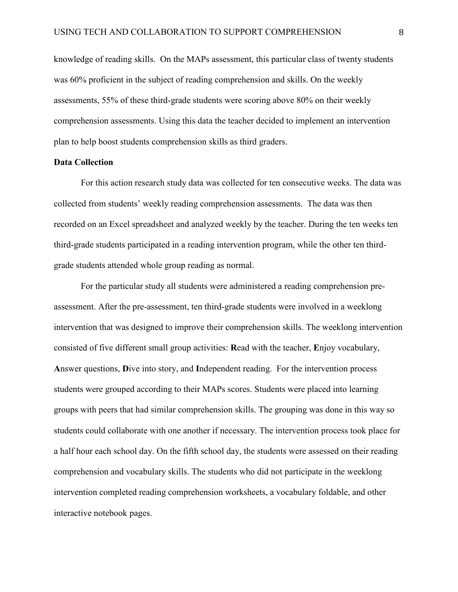knowledge of reading skills. On the MAPs assessment, this particular class of twenty students was 60% proficient in the subject of reading comprehension and skills. On the weekly assessments, 55% of these third-grade students were scoring above 80% on their weekly comprehension assessments. Using this data the teacher decided to implement an intervention plan to help boost students comprehension skills as third graders.

#### Data Collection

For this action research study data was collected for ten consecutive weeks. The data was collected from students' weekly reading comprehension assessments. The data was then recorded on an Excel spreadsheet and analyzed weekly by the teacher. During the ten weeks ten third-grade students participated in a reading intervention program, while the other ten thirdgrade students attended whole group reading as normal.

For the particular study all students were administered a reading comprehension preassessment. After the pre-assessment, ten third-grade students were involved in a weeklong intervention that was designed to improve their comprehension skills. The weeklong intervention consisted of five different small group activities: Read with the teacher, Enjoy vocabulary, Answer questions, Dive into story, and Independent reading. For the intervention process students were grouped according to their MAPs scores. Students were placed into learning groups with peers that had similar comprehension skills. The grouping was done in this way so students could collaborate with one another if necessary. The intervention process took place for a half hour each school day. On the fifth school day, the students were assessed on their reading comprehension and vocabulary skills. The students who did not participate in the weeklong intervention completed reading comprehension worksheets, a vocabulary foldable, and other interactive notebook pages.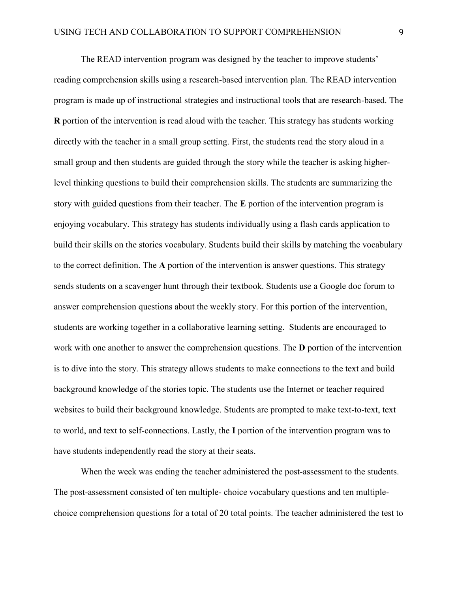The READ intervention program was designed by the teacher to improve students' reading comprehension skills using a research-based intervention plan. The READ intervention program is made up of instructional strategies and instructional tools that are research-based. The R portion of the intervention is read aloud with the teacher. This strategy has students working directly with the teacher in a small group setting. First, the students read the story aloud in a small group and then students are guided through the story while the teacher is asking higherlevel thinking questions to build their comprehension skills. The students are summarizing the story with guided questions from their teacher. The E portion of the intervention program is enjoying vocabulary. This strategy has students individually using a flash cards application to build their skills on the stories vocabulary. Students build their skills by matching the vocabulary to the correct definition. The A portion of the intervention is answer questions. This strategy sends students on a scavenger hunt through their textbook. Students use a Google doc forum to answer comprehension questions about the weekly story. For this portion of the intervention, students are working together in a collaborative learning setting. Students are encouraged to work with one another to answer the comprehension questions. The **D** portion of the intervention is to dive into the story. This strategy allows students to make connections to the text and build background knowledge of the stories topic. The students use the Internet or teacher required websites to build their background knowledge. Students are prompted to make text-to-text, text to world, and text to self-connections. Lastly, the I portion of the intervention program was to have students independently read the story at their seats.

When the week was ending the teacher administered the post-assessment to the students. The post-assessment consisted of ten multiple- choice vocabulary questions and ten multiplechoice comprehension questions for a total of 20 total points. The teacher administered the test to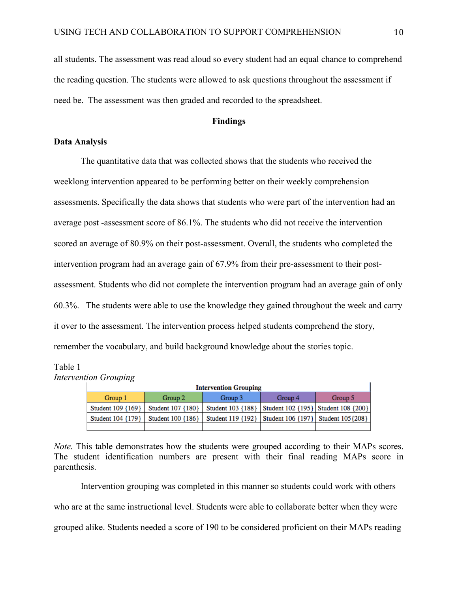all students. The assessment was read aloud so every student had an equal chance to comprehend the reading question. The students were allowed to ask questions throughout the assessment if need be. The assessment was then graded and recorded to the spreadsheet.

# Findings

# Data Analysis

The quantitative data that was collected shows that the students who received the weeklong intervention appeared to be performing better on their weekly comprehension assessments. Specifically the data shows that students who were part of the intervention had an average post -assessment score of 86.1%. The students who did not receive the intervention scored an average of 80.9% on their post-assessment. Overall, the students who completed the intervention program had an average gain of 67.9% from their pre-assessment to their postassessment. Students who did not complete the intervention program had an average gain of only 60.3%. The students were able to use the knowledge they gained throughout the week and carry it over to the assessment. The intervention process helped students comprehend the story, remember the vocabulary, and build background knowledge about the stories topic.

#### Table 1

*Intervention Grouping*

|                   | <b>Intervention Grouping</b> |                                                                               |         |         |  |  |  |  |  |  |  |  |  |  |  |
|-------------------|------------------------------|-------------------------------------------------------------------------------|---------|---------|--|--|--|--|--|--|--|--|--|--|--|
| Group 1           | Group 2                      | Group 3                                                                       | Group 4 | Group 5 |  |  |  |  |  |  |  |  |  |  |  |
| Student 109 {169} |                              | Student 107 {180}   Student 103 {188}   Student 102 {195}   Student 108 {200} |         |         |  |  |  |  |  |  |  |  |  |  |  |
| Student 104 {179} |                              | Student 100 {186}   Student 119 {192}   Student 106 {197}   Student 105 {208} |         |         |  |  |  |  |  |  |  |  |  |  |  |
|                   |                              |                                                                               |         |         |  |  |  |  |  |  |  |  |  |  |  |

*Note.* This table demonstrates how the students were grouped according to their MAPs scores. The student identification numbers are present with their final reading MAPs score in parenthesis.

Intervention grouping was completed in this manner so students could work with others who are at the same instructional level. Students were able to collaborate better when they were grouped alike. Students needed a score of 190 to be considered proficient on their MAPs reading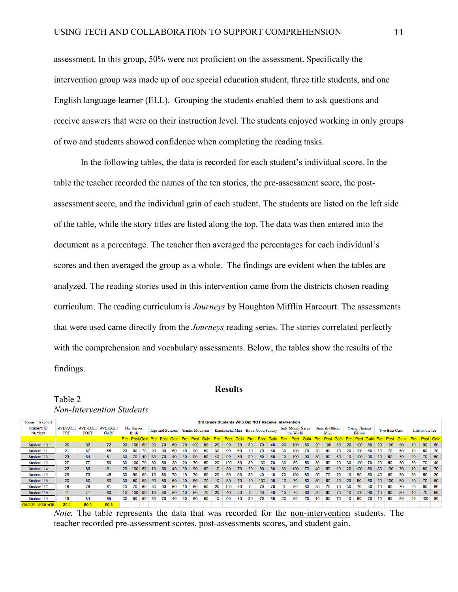assessment. In this group, 50% were not proficient on the assessment. Specifically the intervention group was made up of one special education student, three title students, and one English language learner (ELL). Grouping the students enabled them to ask questions and receive answers that were on their instruction level. The students enjoyed working in only groups of two and students showed confidence when completing the reading tasks.

In the following tables, the data is recorded for each student's individual score. In the table the teacher recorded the names of the ten stories, the pre-assessment score, the postassessment score, and the individual gain of each student. The students are listed on the left side of the table, while the story titles are listed along the top. The data was then entered into the document as a percentage. The teacher then averaged the percentages for each individual's scores and then averaged the group as a whole. The findings are evident when the tables are analyzed. The reading stories used in this intervention came from the districts chosen reading curriculum. The reading curriculum is *Journeys* by Houghton Mifflin Harcourt. The assessments that were used came directly from the *Journeys* reading series. The stories correlated perfectly with the comprehension and vocabulary assessments. Below, the tables show the results of the findings.

#### **Results**

Table 2

*Non-Intervention Students* 

| Scores = % correct   | 3rd Grade Students Who Did NOT Receive Intervention |                               |                               |    |                             |    |                  |    |      |                        |      |      |                 |     |      |                                   |     |    |                  |                                      |      |      |                        |      |                 |                               |             |                 |               |      |                  |     |           |  |
|----------------------|-----------------------------------------------------|-------------------------------|-------------------------------|----|-----------------------------|----|------------------|----|------|------------------------|------|------|-----------------|-----|------|-----------------------------------|-----|----|------------------|--------------------------------------|------|------|------------------------|------|-----------------|-------------------------------|-------------|-----------------|---------------|------|------------------|-----|-----------|--|
| Student ID<br>Number | <b>AVERAGE</b><br><b>PRE</b>                        | <b>AVERAGE</b><br><b>POST</b> | <b>AVERAGE</b><br><b>GAIN</b> |    | The Harvest<br><b>Birds</b> |    | Tops and Bottoms |    |      | <b>Yonder Mountain</b> |      |      |                 |     |      | Kamishibiai Man Extra-Good Sunday |     |    |                  | <b>Judy Moody Saves</b><br>the World |      |      | Aero & Officer<br>Mike |      |                 | <b>Young Thomas</b><br>Edison |             |                 | Two Bear Cubs |      | Life on the Ice  |     |           |  |
|                      |                                                     |                               |                               |    | <b>Pre</b> Post Gain        |    | <b>Pre</b>       |    | Gain | Pre                    | Post | Gain | Pre             |     | Gain | Pre                               |     |    |                  |                                      | Goir | Pre. |                        | Gain | <b>Pre</b>      |                               | <b>Gain</b> | Pre             |               | Gain | <b>Pre</b>       |     | Post Gain |  |
| Student 110          | 20                                                  | 92                            | 72                            | 20 | 100                         | 80 | -20              | 70 | 50   | 20                     | 100  | 80   | 20              | 90  | 70   | 30                                | 70  | 40 | 20               | 100                                  | -80  | 20   | 100                    | 80   | 20              | 100                           | 80          | 20              | 100           | 80   | 10 <sup>1</sup>  | 90  | 80        |  |
| Student 111          | 21                                                  | 87                            | 65                            | 20 | 90                          | 70 | 20               | 90 | 60   | 40                     | 90   | 50   | 30              | 90  | 60   | 10                                | 70  | 60 | 30               | 100                                  | 70   | 20   | 90                     | 70   | 20              | 100                           | 80          | 10              | 70            | 60   | 10               | 80  | 70        |  |
| Student 112          | 23                                                  | 84                            | 61                            | 30 | 70                          | 40 | 30               | 70 | 40   | 30                     | 90   | 60   | 40              | 90  | 50   | 20                                | 80  | 60 | 10 <sup>°</sup>  | 100                                  | 90   | 30   | 90                     | 60   | 10 <sup>°</sup> | 100                           | 90          | 10 <sup>1</sup> | 80            | 70   | 20               | 70  | - 50      |  |
| Student 113          | 27                                                  | 77                            | 50                            | 30 | 100                         | 70 | 30               | 50 | 20   | 20                     | 70   | 50   | 20              | 100 | 80   | 30                                | 100 | 70 | 30               | 80                                   | 50   | 30   | 50                     | 20   | 30              | 100                           | 70          | 20              | 50            | 30   | 30               | 70  | 40        |  |
| Student 114          | 22                                                  | 83                            | 61                            | 20 | 100                         | 80 | 10 <sup>1</sup>  | 50 | 40   | 30                     | 90   | 60   | 10 <sup>°</sup> | 80  | 70   | 20                                | 80  | 60 | 30               | 100                                  | 70   | 40   | 50                     | 10   | 20              | 100                           | 80          | 30              | 100           | 70   | 10 <sup>10</sup> | 80  | - 70      |  |
| Student 115          | 25                                                  | 73                            | 48                            | 30 | 90                          | 60 | 10               | 80 | 70   | 10                     | 70   | 60   | 20              | 80  | 60   | 30                                | 40  | 10 | 20               | 100                                  | 80   | 50   | 70                     | 20   | 10              | 90                            | 80          | 40              | 60            | 20   | 30               | 50  | 20        |  |
| Student 116          | 20                                                  | 80                            | 60                            | 30 | 80                          | 50 | 20               | 80 | 60   | 10 <sup>10</sup>       | 80   | 70   | 10 <sup>°</sup> | 80  | 70   | 10 <sup>10</sup>                  | 100 | 90 | 10 <sup>°</sup>  | 70                                   | 60   | 50   | 60                     | 10   | 20              | 80                            | 60          | 20              | 100           | 80   | 20               | 70  | - 50      |  |
| Student 117          | 16                                                  | 78                            | 61                            | 10 | 70                          | 60 | 30               | 90 | 60   | 10                     | 60   | 50   | 20              | 100 | 80   | $\Omega$                          | 70  | 70 |                  | 80                                   | 80   | 30   | 70                     | 40   | 30              | 70                            | 40          | 10              | 80            | 70   | 20               | 90  | 60        |  |
| Student 118          | 11                                                  | 71                            | 60                            | 10 | 100                         | 90 | 10 <sup>1</sup>  | 60 | 50   | 10 <sup>°</sup>        | 80   | 70   | 20              | 40  | 20   | $\mathbf{0}$                      | 40  | 40 | 10 <sup>10</sup> | 70                                   | 60   | 20   | 90                     | 70   | 10 <sup>°</sup> | 100                           | 90          | 10 <sup>1</sup> | 60            | 50   | 10 <sup>10</sup> | 70  | - 60      |  |
| Student 119          | 19                                                  | 84                            | 65                            | 30 | 90                          | 60 | 30               | 70 | 40   | 30                     | 80   | 50   | 10              | 90  | 80   | 20                                | 70  | 50 | 20               | 90                                   | 70   | 10   | 80                     | 70   | 10              | 80                            | 70          | 10              | 90            | 80   | 20               | 100 | 80        |  |
| <b>GROUP AVERAGE</b> | 20.4                                                | 80.9                          | 60.3                          |    |                             |    |                  |    |      |                        |      |      |                 |     |      |                                   |     |    |                  |                                      |      |      |                        |      |                 |                               |             |                 |               |      |                  |     |           |  |

*Note.* The table represents the data that was recorded for the non-intervention students. The teacher recorded pre-assessment scores, post-assessments scores, and student gain.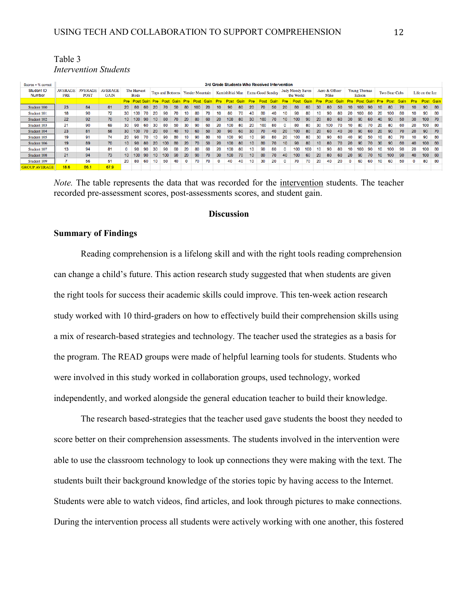| Table 3                      |  |
|------------------------------|--|
| <i>Intervention Students</i> |  |

| $Scores = % correct$        | 3rd Grade Students Who Received Intervention |                              |                               |                 |                             |     |                 |      |      |                                  |      |      |                 |      |      |                                   |     |    |                                      |     |     |                        |     |    |              |                               |      |                  |               |      |                 |                  |      |
|-----------------------------|----------------------------------------------|------------------------------|-------------------------------|-----------------|-----------------------------|-----|-----------------|------|------|----------------------------------|------|------|-----------------|------|------|-----------------------------------|-----|----|--------------------------------------|-----|-----|------------------------|-----|----|--------------|-------------------------------|------|------------------|---------------|------|-----------------|------------------|------|
| <b>Student ID</b><br>Number | <b>AVERAGE</b><br><b>PRE</b>                 | <b>WERAGE</b><br><b>POST</b> | <b>AVERAGE</b><br><b>GAIN</b> |                 | The Harvest<br><b>Birds</b> |     |                 |      |      | Tops and Bottoms Yonder Mountain |      |      |                 |      |      | Kamishibiai Man Extra-Good Sunday |     |    | <b>Judy Moody Saves</b><br>the World |     |     | Aero & Officer<br>Mike |     |    |              | <b>Young Thomas</b><br>Edison |      |                  | Two Bear Cubs |      | Life on the Ice |                  |      |
|                             |                                              |                              |                               | <b>Pre</b>      |                             |     | <b>Pre</b>      | Post | Gain | <b>Pre</b>                       | Post | Gain | <b>Pre</b>      | Post | Gain |                                   |     |    |                                      |     |     | <b>Pre</b>             |     |    | <b>Pre</b>   |                               | Gain | <b>Pre</b>       | Post          | Gain | <b>Pre</b>      | <b>Post Gain</b> |      |
| Student 100                 | 23                                           | 84                           | 61                            | <b>20</b>       | 80                          | -60 | 20              | 70   | 50   | -80                              | 100  | 20   | 10 <sup>°</sup> | 90   | 80   | 20                                | 70  | 50 | 20                                   | 80  | 60  | 30                     | 80  | 50 | 10           | 100                           | 90   | 10               | -80           | 70   | 10 <sup>°</sup> | 90               | 80   |
| Student 101                 | 18                                           | 90                           | 72                            | 30              | 100                         | 70  | 20              | 90   | 70   | 10                               | 80   | 70   | 10              | 80   | 70   | 40                                | 80  | 40 | 10.                                  | 90  | 80  |                        | 90  | 80 | 20           | 100                           | 80   | 20               | 100           | 80   | 10              | 90               | 80   |
| Student 102                 | $22^{\circ}$                                 | 92                           | 70                            |                 | 10   100                    | 90  | 10 <sup>°</sup> | 80   | 70   | 20                               | 80   | 60   | 20              | 100  | 80   | 30                                | 100 | 70 | 10 <sup>10</sup>                     | 100 | 90  | 20                     | 80  | 60 | 30           | 90                            | -60  | 40               | 90            | 50   | 30              | $100$ 70         |      |
| Student 103                 | 21                                           | 90                           | 69                            | 30              | 90                          | 60  | 30              | 80   | 50   | 30                               | 90   | 60   | 20              | 100  | 80   | 20                                | 100 | 80 | 0                                    | 80  | 80  | 30                     | 100 | 70 | 10           | 80                            | 70   | 20               | 80            | 60   | 20              | 100              | - 80 |
| Student 104                 | 23                                           | 81                           | 58                            | 30              | 100                         | 70  | 20              | 60   | 40   | 10 <sup>°</sup>                  | 60   | 50   | 30              | 90   | 60   | 30                                | 70  | 40 | 20                                   | 100 | 80  | 20                     | 60  | 40 | 30           | 90                            | 60   | 20               | -90           | 70   | 20              | 90               | 70   |
| Student 105                 | 19                                           | 91                           | 74                            | 20              | 90                          | 70  | 10              | 90   | 80   | 10                               | 90   | 80   | 10              | 100  | 90   | 10                                | 90  | 80 | 20                                   | 100 | 80  | 30                     | 90  | 60 | 40           | 90                            | 50   | 10               | 80            | 70   | 10              | 90               | 80   |
| Student 106                 | 19                                           | 89                           | 70                            | 10 <sup>°</sup> | 90                          | -80 | 20              | 100  | 80   | 20                               | 70   | 50   | 20              | 100  | 80   | 10                                | 80  | 70 | 10 <sup>°</sup>                      | 90  | 80  | 10 <sup>°</sup>        | 80  | 70 | 20           | 90                            | 70   | 30               | 90            | 60   | 40              | 100              | 60   |
| Student 107                 | 13                                           | 94                           | 81                            | 0               | 90                          | 90  | 30              | 90   | 60   | 20                               | 80   | 60   | 20              | 100  | 80   | 10                                | 90  | 80 | 0                                    | 100 | 100 |                        | 90  | 80 | 10           | 100                           | 90   | 10               | 100           | 90   | 20              | 100              | 80   |
| Student 108                 | 21                                           | 94                           | 73                            |                 | 10 100                      | 90  | 10              | 100  | 90   | 20                               | 90   | 70   | 30              | 100  | 70   | 10                                | 80  | 70 | 40                                   | 100 | 60  | 20                     | 80  | 60 | <b>20</b>    | 90                            | 70   | 10 <sup>10</sup> | 100           | 90   | 40              | 100 60           |      |
| Student 109                 |                                              | 56                           | 51                            | 20              | 80                          | 60  | 10              | 50   | 40   |                                  | 70   | 70   | 0               | 40   | 40   | 10                                | 30  | 20 | $\Omega$                             | 70  | 70  | 20                     | 40  | 20 | $\mathbf{0}$ | 60                            | 60   | 10               | 60            | 50   |                 | 80               | - 80 |
| <b>GROUP AVERAGE</b>        | 18.6                                         | 86.1                         | 67.9                          |                 |                             |     |                 |      |      |                                  |      |      |                 |      |      |                                   |     |    |                                      |     |     |                        |     |    |              |                               |      |                  |               |      |                 |                  |      |

*Note.* The table represents the data that was recorded for the intervention students. The teacher recorded pre-assessment scores, post-assessments scores, and student gain.

# **Discussion**

## Summary of Findings

Reading comprehension is a lifelong skill and with the right tools reading comprehension can change a child's future. This action research study suggested that when students are given the right tools for success their academic skills could improve. This ten-week action research study worked with 10 third-graders on how to effectively build their comprehension skills using a mix of research-based strategies and technology. The teacher used the strategies as a basis for the program. The READ groups were made of helpful learning tools for students. Students who were involved in this study worked in collaboration groups, used technology, worked independently, and worked alongside the general education teacher to build their knowledge.

The research based-strategies that the teacher used gave students the boost they needed to score better on their comprehension assessments. The students involved in the intervention were able to use the classroom technology to look up connections they were making with the text. The students built their background knowledge of the stories topic by having access to the Internet. Students were able to watch videos, find articles, and look through pictures to make connections. During the intervention process all students were actively working with one another, this fostered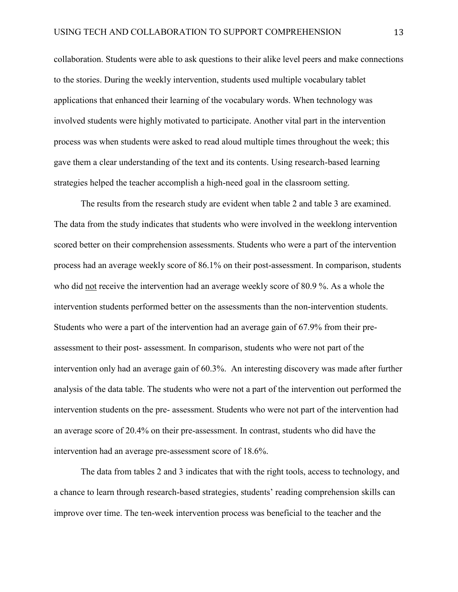collaboration. Students were able to ask questions to their alike level peers and make connections to the stories. During the weekly intervention, students used multiple vocabulary tablet applications that enhanced their learning of the vocabulary words. When technology was involved students were highly motivated to participate. Another vital part in the intervention process was when students were asked to read aloud multiple times throughout the week; this gave them a clear understanding of the text and its contents. Using research-based learning strategies helped the teacher accomplish a high-need goal in the classroom setting.

The results from the research study are evident when table 2 and table 3 are examined. The data from the study indicates that students who were involved in the weeklong intervention scored better on their comprehension assessments. Students who were a part of the intervention process had an average weekly score of 86.1% on their post-assessment. In comparison, students who did not receive the intervention had an average weekly score of 80.9 %. As a whole the intervention students performed better on the assessments than the non-intervention students. Students who were a part of the intervention had an average gain of 67.9% from their preassessment to their post- assessment. In comparison, students who were not part of the intervention only had an average gain of 60.3%. An interesting discovery was made after further analysis of the data table. The students who were not a part of the intervention out performed the intervention students on the pre- assessment. Students who were not part of the intervention had an average score of 20.4% on their pre-assessment. In contrast, students who did have the intervention had an average pre-assessment score of 18.6%.

The data from tables 2 and 3 indicates that with the right tools, access to technology, and a chance to learn through research-based strategies, students' reading comprehension skills can improve over time. The ten-week intervention process was beneficial to the teacher and the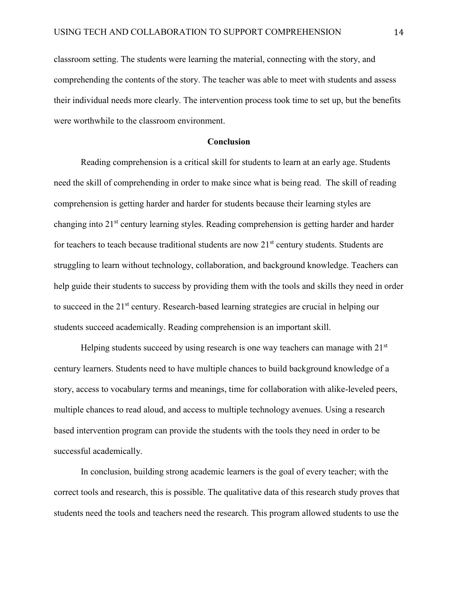classroom setting. The students were learning the material, connecting with the story, and comprehending the contents of the story. The teacher was able to meet with students and assess their individual needs more clearly. The intervention process took time to set up, but the benefits were worthwhile to the classroom environment.

#### Conclusion

Reading comprehension is a critical skill for students to learn at an early age. Students need the skill of comprehending in order to make since what is being read. The skill of reading comprehension is getting harder and harder for students because their learning styles are changing into 21st century learning styles. Reading comprehension is getting harder and harder for teachers to teach because traditional students are now  $21<sup>st</sup>$  century students. Students are struggling to learn without technology, collaboration, and background knowledge. Teachers can help guide their students to success by providing them with the tools and skills they need in order to succeed in the 21<sup>st</sup> century. Research-based learning strategies are crucial in helping our students succeed academically. Reading comprehension is an important skill.

Helping students succeed by using research is one way teachers can manage with  $21<sup>st</sup>$ century learners. Students need to have multiple chances to build background knowledge of a story, access to vocabulary terms and meanings, time for collaboration with alike-leveled peers, multiple chances to read aloud, and access to multiple technology avenues. Using a research based intervention program can provide the students with the tools they need in order to be successful academically.

In conclusion, building strong academic learners is the goal of every teacher; with the correct tools and research, this is possible. The qualitative data of this research study proves that students need the tools and teachers need the research. This program allowed students to use the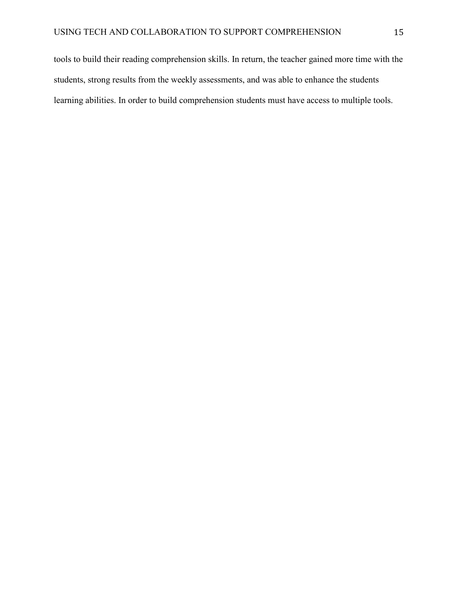tools to build their reading comprehension skills. In return, the teacher gained more time with the students, strong results from the weekly assessments, and was able to enhance the students learning abilities. In order to build comprehension students must have access to multiple tools.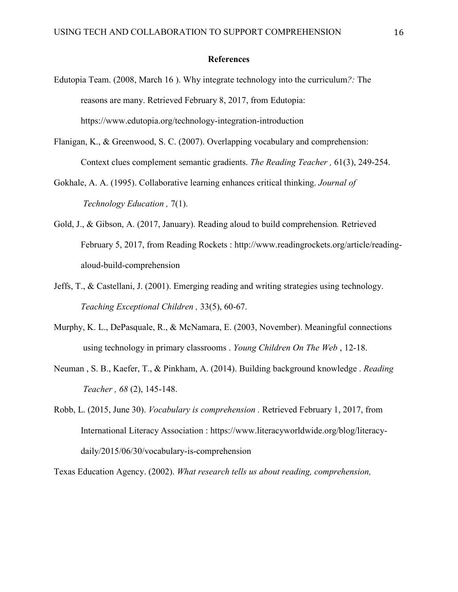#### References

- Edutopia Team. (2008, March 16 ). Why integrate technology into the curriculum*?:* The reasons are many. Retrieved February 8, 2017, from Edutopia: https://www.edutopia.org/technology-integration-introduction
- Flanigan, K., & Greenwood, S. C. (2007). Overlapping vocabulary and comprehension: Context clues complement semantic gradients. *The Reading Teacher ,* 61(3), 249-254.
- Gokhale, A. A. (1995). Collaborative learning enhances critical thinking. *Journal of Technology Education ,* 7(1).
- Gold, J., & Gibson, A. (2017, January). Reading aloud to build comprehension*.* Retrieved February 5, 2017, from Reading Rockets : http://www.readingrockets.org/article/readingaloud-build-comprehension
- Jeffs, T., & Castellani, J. (2001). Emerging reading and writing strategies using technology. *Teaching Exceptional Children ,* 33(5), 60-67.
- Murphy, K. L., DePasquale, R., & McNamara, E. (2003, November). Meaningful connections using technology in primary classrooms . *Young Children On The Web* , 12-18.
- Neuman , S. B., Kaefer, T., & Pinkham, A. (2014). Building background knowledge . *Reading Teacher , 68* (2), 145-148.
- Robb, L. (2015, June 30). *Vocabulary is comprehension .* Retrieved February 1, 2017, from International Literacy Association : https://www.literacyworldwide.org/blog/literacydaily/2015/06/30/vocabulary-is-comprehension

Texas Education Agency. (2002). *What research tells us about reading, comprehension,*